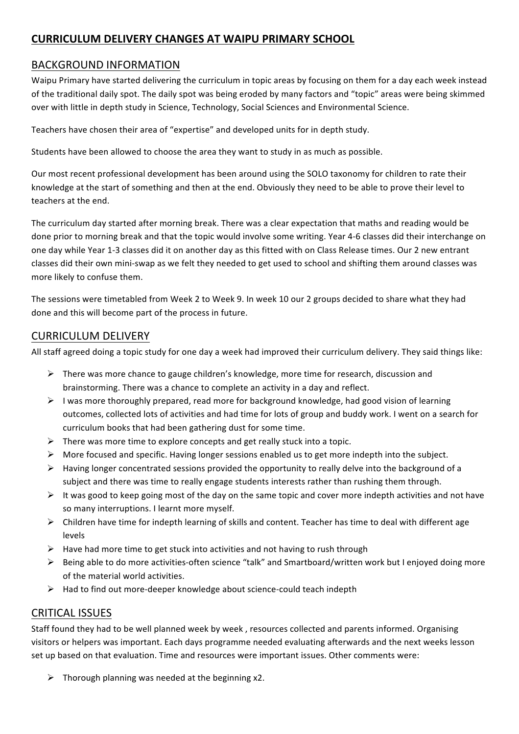# **CURRICULUM'DELIVERY'CHANGES'AT'WAIPU'PRIMARY'SCHOOL**

## BACKGROUND INFORMATION

Waipu Primary have started delivering the curriculum in topic areas by focusing on them for a day each week instead of the traditional daily spot. The daily spot was being eroded by many factors and "topic" areas were being skimmed over with little in depth study in Science, Technology, Social Sciences and Environmental Science.

Teachers have chosen their area of "expertise" and developed units for in depth study.

Students have been allowed to choose the area they want to study in as much as possible.

Our most recent professional development has been around using the SOLO taxonomy for children to rate their knowledge at the start of something and then at the end. Obviously they need to be able to prove their level to teachers at the end.

The curriculum day started after morning break. There was a clear expectation that maths and reading would be done prior to morning break and that the topic would involve some writing. Year 4-6 classes did their interchange on one day while Year 1-3 classes did it on another day as this fitted with on Class Release times. Our 2 new entrant classes did their own mini-swap as we felt they needed to get used to school and shifting them around classes was more likely to confuse them.

The sessions were timetabled from Week 2 to Week 9. In week 10 our 2 groups decided to share what they had done and this will become part of the process in future.

### CURRICULUM+DELIVERY

All staff agreed doing a topic study for one day a week had improved their curriculum delivery. They said things like:

- $\triangleright$  There was more chance to gauge children's knowledge, more time for research, discussion and brainstorming. There was a chance to complete an activity in a day and reflect.
- $\triangleright$  I was more thoroughly prepared, read more for background knowledge, had good vision of learning outcomes, collected lots of activities and had time for lots of group and buddy work. I went on a search for curriculum books that had been gathering dust for some time.
- $\triangleright$  There was more time to explore concepts and get really stuck into a topic.
- $\triangleright$  More focused and specific. Having longer sessions enabled us to get more indepth into the subject.
- $\triangleright$  Having longer concentrated sessions provided the opportunity to really delve into the background of a subject and there was time to really engage students interests rather than rushing them through.
- $\triangleright$  It was good to keep going most of the day on the same topic and cover more indepth activities and not have so many interruptions. I learnt more myself.
- $\triangleright$  Children have time for indepth learning of skills and content. Teacher has time to deal with different age levels
- $\triangleright$  Have had more time to get stuck into activities and not having to rush through
- $\triangleright$  Being able to do more activities-often science "talk" and Smartboard/written work but I enjoyed doing more of the material world activities.
- $\triangleright$  Had to find out more-deeper knowledge about science-could teach indepth

### CRITICAL ISSUES

Staff found they had to be well planned week by week, resources collected and parents informed. Organising visitors or helpers was important. Each days programme needed evaluating afterwards and the next weeks lesson set up based on that evaluation. Time and resources were important issues. Other comments were:

 $\triangleright$  Thorough planning was needed at the beginning x2.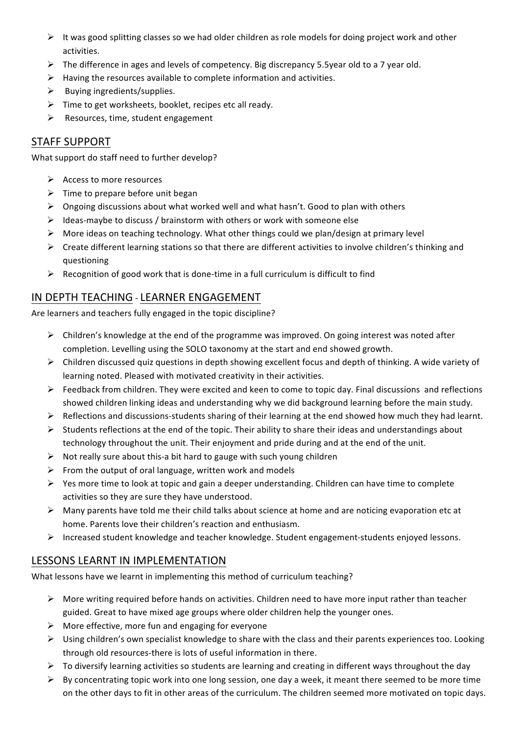- $\triangleright$  It was good splitting classes so we had older children as role models for doing project work and other activities.
- $\triangleright$  The difference in ages and levels of competency. Big discrepancy 5.5year old to a 7 year old.
- $\triangleright$  Having the resources available to complete information and activities.
- $\triangleright$  Buying ingredients/supplies.
- $\triangleright$  Time to get worksheets, booklet, recipes etc all ready.
- $\triangleright$  Resources, time, student engagement

## STAFF SUPPORT

What support do staff need to further develop?

- $\triangleright$  Access to more resources
- $\triangleright$  Time to prepare before unit began
- $\triangleright$  Ongoing discussions about what worked well and what hasn't. Good to plan with others
- $\triangleright$  Ideas-maybe to discuss / brainstorm with others or work with someone else
- $\triangleright$  More ideas on teaching technology. What other things could we plan/design at primary level
- $\triangleright$  Create different learning stations so that there are different activities to involve children's thinking and questioning
- $\triangleright$  Recognition of good work that is done-time in a full curriculum is difficult to find

### IN DEPTH TEACHING - LEARNER ENGAGEMENT

Are learners and teachers fully engaged in the topic discipline?

- $\triangleright$  Children's knowledge at the end of the programme was improved. On going interest was noted after completion. Levelling using the SOLO taxonomy at the start and end showed growth.
- $\triangleright$  Children discussed quiz questions in depth showing excellent focus and depth of thinking. A wide variety of learning noted. Pleased with motivated creativity in their activities.
- $\triangleright$  Feedback from children. They were excited and keen to come to topic day. Final discussions and reflections showed children linking ideas and understanding why we did background learning before the main study.
- $\triangleright$  Reflections and discussions-students sharing of their learning at the end showed how much they had learnt.
- $\triangleright$  Students reflections at the end of the topic. Their ability to share their ideas and understandings about technology throughout the unit. Their enjoyment and pride during and at the end of the unit.
- $\triangleright$  Not really sure about this-a bit hard to gauge with such young children
- $\triangleright$  From the output of oral language, written work and models
- $\triangleright$  Yes more time to look at topic and gain a deeper understanding. Children can have time to complete activities so they are sure they have understood.
- $\triangleright$  Many parents have told me their child talks about science at home and are noticing evaporation etc at home. Parents love their children's reaction and enthusiasm.
- $\triangleright$  Increased student knowledge and teacher knowledge. Student engagement-students enjoyed lessons.

## LESSONS LEARNT IN IMPLEMENTATION

What lessons have we learnt in implementing this method of curriculum teaching?

- $\triangleright$  More writing required before hands on activities. Children need to have more input rather than teacher guided. Great to have mixed age groups where older children help the younger ones.
- $\triangleright$  More effective, more fun and engaging for everyone
- $\triangleright$  Using children's own specialist knowledge to share with the class and their parents experiences too. Looking through old resources-there is lots of useful information in there.
- $\triangleright$  To diversify learning activities so students are learning and creating in different ways throughout the day
- $\triangleright$  By concentrating topic work into one long session, one day a week, it meant there seemed to be more time on the other days to fit in other areas of the curriculum. The children seemed more motivated on topic days.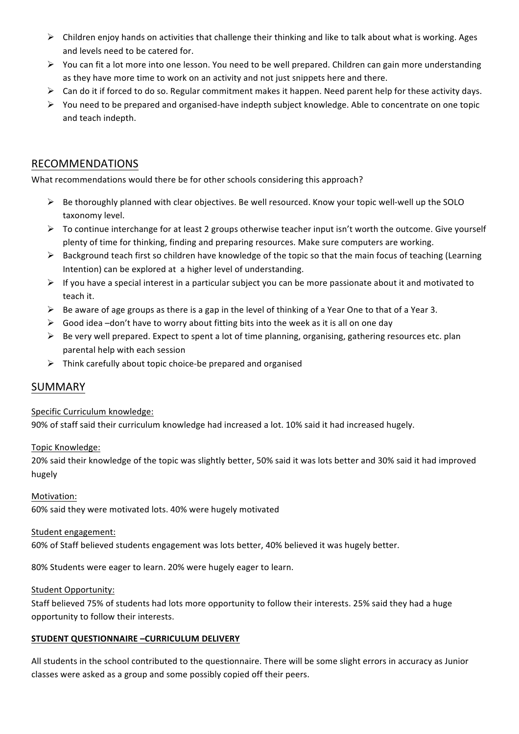- $\triangleright$  Children enjoy hands on activities that challenge their thinking and like to talk about what is working. Ages and levels need to be catered for.
- $\triangleright$  You can fit a lot more into one lesson. You need to be well prepared. Children can gain more understanding as they have more time to work on an activity and not just snippets here and there.
- $\triangleright$  Can do it if forced to do so. Regular commitment makes it happen. Need parent help for these activity days.
- $\triangleright$  You need to be prepared and organised-have indepth subject knowledge. Able to concentrate on one topic and teach indepth.

## RECOMMENDATIONS

What recommendations would there be for other schools considering this approach?

- $\triangleright$  Be thoroughly planned with clear objectives. Be well resourced. Know your topic well-well up the SOLO taxonomy level.
- $\triangleright$  To continue interchange for at least 2 groups otherwise teacher input isn't worth the outcome. Give yourself plenty of time for thinking, finding and preparing resources. Make sure computers are working.
- $\triangleright$  Background teach first so children have knowledge of the topic so that the main focus of teaching (Learning Intention) can be explored at a higher level of understanding.
- $\triangleright$  If you have a special interest in a particular subject you can be more passionate about it and motivated to teach it.
- $\triangleright$  Be aware of age groups as there is a gap in the level of thinking of a Year One to that of a Year 3.
- $\triangleright$  Good idea –don't have to worry about fitting bits into the week as it is all on one day
- $\triangleright$  Be very well prepared. Expect to spent a lot of time planning, organising, gathering resources etc. plan parental help with each session
- $\triangleright$  Think carefully about topic choice-be prepared and organised

### SUMMARY

#### Specific Curriculum knowledge:

90% of staff said their curriculum knowledge had increased a lot. 10% said it had increased hugely.

Topic+Knowledge:

20% said their knowledge of the topic was slightly better, 50% said it was lots better and 30% said it had improved hugely

Motivation: 60% said they were motivated lots. 40% were hugely motivated

#### Student engagement:

60% of Staff believed students engagement was lots better, 40% believed it was hugely better.

80% Students were eager to learn. 20% were hugely eager to learn.

#### Student Opportunity:

Staff believed 75% of students had lots more opportunity to follow their interests. 25% said they had a huge opportunity to follow their interests.

#### **STUDENT'QUESTIONNAIRE'–CURRICULUM'DELIVERY**

All students in the school contributed to the questionnaire. There will be some slight errors in accuracy as Junior classes were asked as a group and some possibly copied off their peers.